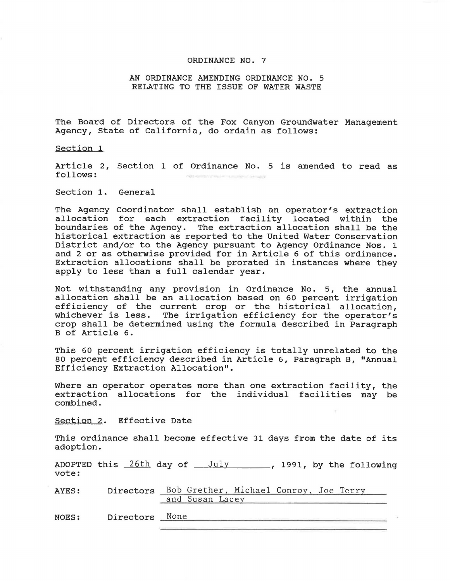## ORDINANCE NO. 7

## AN ORDINANCE AMENDING ORDINANCE NO. 5 RELATING TO THE ISSUE OF WATER WASTE

The Board of Directors of the Fox Canyon Groundwater Management Agency, State of California, do ordain as follows:

Section 1

Article 2, Section 1 of Ordinance No. 5 is amended to read as follows: ABO demonstrate la management del co-

Section 1. General

The Agency Coordinator shall establish an operator's extraction allocation for each extraction facility located within the boundaries of the Agency. The extraction allocation shall be the historical extraction as reported to the United Water Conservation District and/or to the Agency pursuant to Agency Ordinance Nos. 1 and 2 or as otherwise provided for in Article 6 of this ordinance. Extraction allocations shall be prorated in instances where they apply to less than a full calendar year.

Not withstanding any provision in Ordinance No. 5, the annual allocation shall be an allocation based on 60 percent irrigation efficiency of the current crop or the historical allocation, whichever is less. The irrigation efficiency for the operator's crop shall be determined using the formula described in Paragraph B of Article 6.

This 60 percent irrigation efficiency is totally unrelated to the 80 percent efficiency described in Article 6, Paragraph B, "Annual Efficiency Extraction Allocation".

Where an operator operates more than one extraction facility, the extraction allocations for the individual facilities may be combined.

Section 2. Effective Date

This ordinance shall become effective 31 days from the date of its adoption.

ADOPTED this <u>26th</u> day of \_\_\_\_\_\_\_\_\_\_\_\_\_\_\_\_\_\_, 1991, by the following vote:

AYES: Directors Bob Grether, Michael Conroy, Joe Terry and Susan Lacey

NOES: Directors None